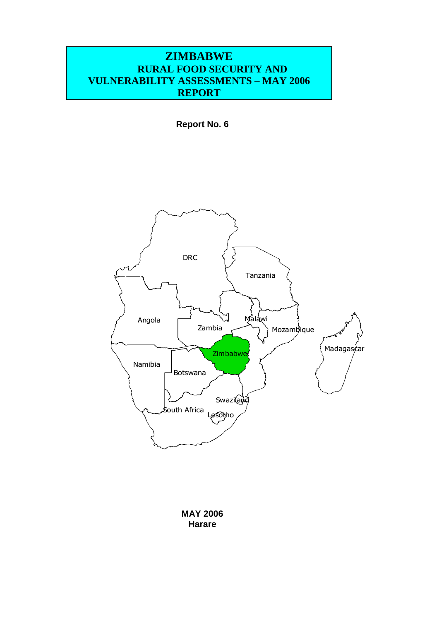# **ZIMBABWE RURAL FOOD SECURITY AND VULNERABILITY ASSESSMENTS – MAY 2006 REPORT**

**Report No. 6**



**MAY 2006 Harare**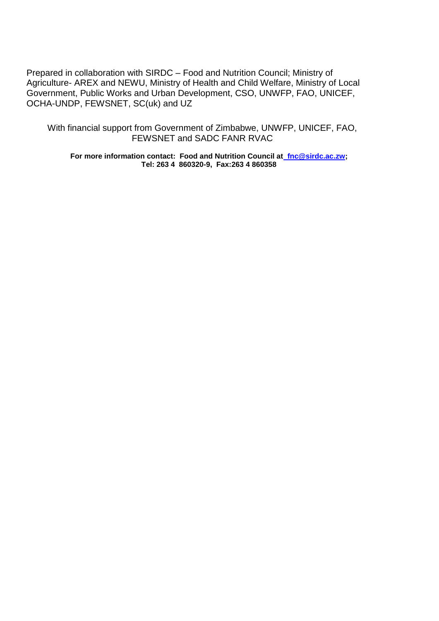Prepared in collaboration with SIRDC – Food and Nutrition Council; Ministry of Agriculture- AREX and NEWU, Ministry of Health and Child Welfare, Ministry of Local Government, Public Works and Urban Development, CSO, UNWFP, FAO, UNICEF, OCHA-UNDP, FEWSNET, SC(uk) and UZ

With financial support from Government of Zimbabwe, UNWFP, UNICEF, FAO, FEWSNET and SADC FANR RVAC

**For more information contact: Food and Nutrition Council a[t fnc@sirdc.ac.zw;](mailto:%20%20fnc@sirdc.ac.zw) Tel: 263 4 860320-9, Fax:263 4 860358**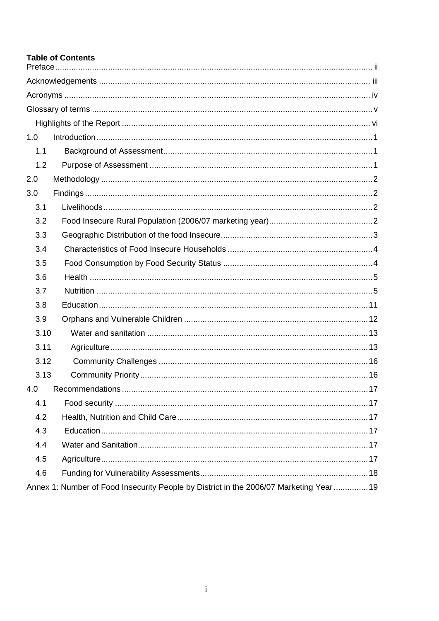### **Table of Contents**

| 1.0                                                                                     |
|-----------------------------------------------------------------------------------------|
| 1.1                                                                                     |
| 1.2                                                                                     |
| 2.0                                                                                     |
| 3.0                                                                                     |
| 3.1                                                                                     |
| 3.2                                                                                     |
| 3.3                                                                                     |
| 3.4                                                                                     |
| 3.5                                                                                     |
| 3.6                                                                                     |
| 3.7                                                                                     |
| 3.8                                                                                     |
| 3.9                                                                                     |
| 3.10                                                                                    |
| 3.11                                                                                    |
| 3.12                                                                                    |
| 3.13                                                                                    |
| 4.0                                                                                     |
| 4.1                                                                                     |
| 4.2                                                                                     |
| 4.3                                                                                     |
| 4.4                                                                                     |
| 4.5                                                                                     |
| 4.6                                                                                     |
| Annex 1: Number of Food Insecurity People by District in the 2006/07 Marketing Year  19 |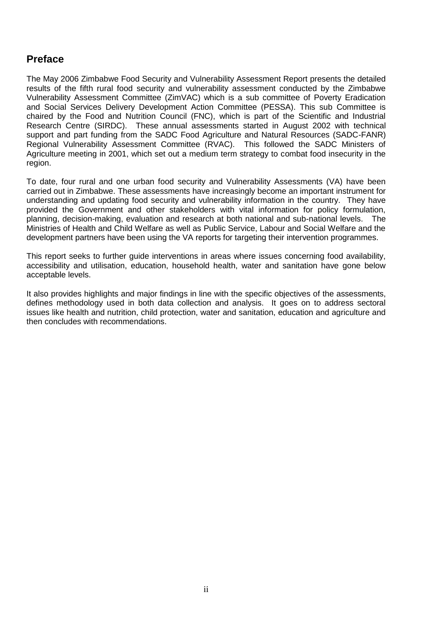### <span id="page-3-0"></span>**Preface**

The May 2006 Zimbabwe Food Security and Vulnerability Assessment Report presents the detailed results of the fifth rural food security and vulnerability assessment conducted by the Zimbabwe Vulnerability Assessment Committee (ZimVAC) which is a sub committee of Poverty Eradication and Social Services Delivery Development Action Committee (PESSA). This sub Committee is chaired by the Food and Nutrition Council (FNC), which is part of the Scientific and Industrial Research Centre (SIRDC). These annual assessments started in August 2002 with technical support and part funding from the SADC Food Agriculture and Natural Resources (SADC-FANR) Regional Vulnerability Assessment Committee (RVAC). This followed the SADC Ministers of Agriculture meeting in 2001, which set out a medium term strategy to combat food insecurity in the region.

To date, four rural and one urban food security and Vulnerability Assessments (VA) have been carried out in Zimbabwe. These assessments have increasingly become an important instrument for understanding and updating food security and vulnerability information in the country. They have provided the Government and other stakeholders with vital information for policy formulation, planning, decision-making, evaluation and research at both national and sub-national levels. The Ministries of Health and Child Welfare as well as Public Service, Labour and Social Welfare and the development partners have been using the VA reports for targeting their intervention programmes.

This report seeks to further guide interventions in areas where issues concerning food availability, accessibility and utilisation, education, household health, water and sanitation have gone below acceptable levels.

It also provides highlights and major findings in line with the specific objectives of the assessments, defines methodology used in both data collection and analysis. It goes on to address sectoral issues like health and nutrition, child protection, water and sanitation, education and agriculture and then concludes with recommendations.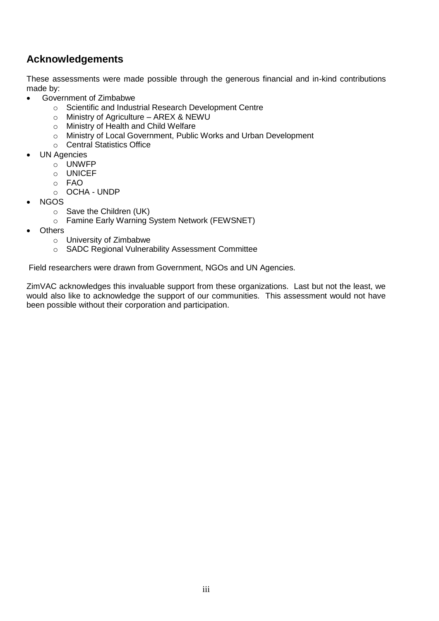# <span id="page-4-0"></span>**Acknowledgements**

These assessments were made possible through the generous financial and in-kind contributions made by:

- Government of Zimbabwe
	- o Scientific and Industrial Research Development Centre
	- o Ministry of Agriculture AREX & NEWU
	- o Ministry of Health and Child Welfare
	- o Ministry of Local Government, Public Works and Urban Development
	- o Central Statistics Office
- UN Agencies
	- o UNWFP
	- o UNICEF
	- o FAO
	- o OCHA UNDP
- NGOS
	- o Save the Children (UK)
	- o Famine Early Warning System Network (FEWSNET)
- **Others** 
	- o University of Zimbabwe
	- o SADC Regional Vulnerability Assessment Committee

Field researchers were drawn from Government, NGOs and UN Agencies.

ZimVAC acknowledges this invaluable support from these organizations. Last but not the least, we would also like to acknowledge the support of our communities. This assessment would not have been possible without their corporation and participation.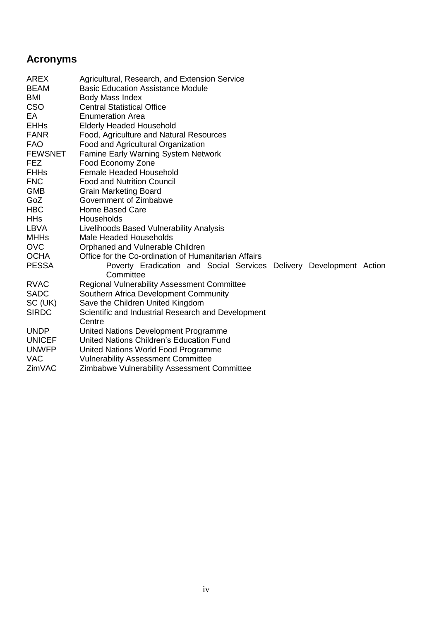# <span id="page-5-0"></span>**Acronyms**

| AREX           | Agricultural, Research, and Extension Service                       |  |  |
|----------------|---------------------------------------------------------------------|--|--|
| <b>BEAM</b>    | <b>Basic Education Assistance Module</b>                            |  |  |
| BMI            | Body Mass Index                                                     |  |  |
| CSO            | <b>Central Statistical Office</b>                                   |  |  |
| EA             | <b>Enumeration Area</b>                                             |  |  |
| <b>EHHs</b>    | <b>Elderly Headed Household</b>                                     |  |  |
| FANR           | Food, Agriculture and Natural Resources                             |  |  |
| <b>FAO</b>     | Food and Agricultural Organization                                  |  |  |
| <b>FEWSNET</b> | <b>Famine Early Warning System Network</b>                          |  |  |
| FEZ            | Food Economy Zone                                                   |  |  |
| <b>FHHs</b>    | <b>Female Headed Household</b>                                      |  |  |
| <b>FNC</b>     | <b>Food and Nutrition Council</b>                                   |  |  |
| <b>GMB</b>     | <b>Grain Marketing Board</b>                                        |  |  |
| GoZ            | Government of Zimbabwe                                              |  |  |
| <b>HBC</b>     | Home Based Care                                                     |  |  |
| <b>HHs</b>     | Households                                                          |  |  |
| LBVA           | Livelihoods Based Vulnerability Analysis                            |  |  |
| MHHs           | Male Headed Households                                              |  |  |
| <b>OVC</b>     | Orphaned and Vulnerable Children                                    |  |  |
| OCHA           | Office for the Co-ordination of Humanitarian Affairs                |  |  |
| <b>PESSA</b>   | Poverty Eradication and Social Services Delivery Development Action |  |  |
|                | Committee                                                           |  |  |
| <b>RVAC</b>    | <b>Regional Vulnerability Assessment Committee</b>                  |  |  |
| <b>SADC</b>    | Southern Africa Development Community                               |  |  |
| SC (UK)        | Save the Children United Kingdom                                    |  |  |
| <b>SIRDC</b>   | Scientific and Industrial Research and Development                  |  |  |
|                | Centre                                                              |  |  |
| UNDP           | United Nations Development Programme                                |  |  |
| <b>UNICEF</b>  | United Nations Children's Education Fund                            |  |  |
| <b>UNWFP</b>   | United Nations World Food Programme                                 |  |  |
| <b>VAC</b>     | <b>Vulnerability Assessment Committee</b>                           |  |  |
| ZimVAC         | Zimbabwe Vulnerability Assessment Committee                         |  |  |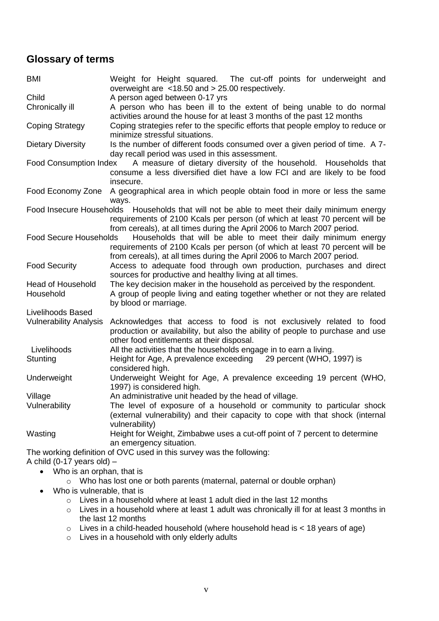## <span id="page-6-0"></span>**Glossary of terms**

| <b>BMI</b>                    | Weight for Height squared. The cut-off points for underweight and                                                                                                                                   |  |  |  |  |  |  |  |  |
|-------------------------------|-----------------------------------------------------------------------------------------------------------------------------------------------------------------------------------------------------|--|--|--|--|--|--|--|--|
| Child                         | overweight are <18.50 and > 25.00 respectively.<br>A person aged between 0-17 yrs                                                                                                                   |  |  |  |  |  |  |  |  |
|                               |                                                                                                                                                                                                     |  |  |  |  |  |  |  |  |
| Chronically ill               | A person who has been ill to the extent of being unable to do normal<br>activities around the house for at least 3 months of the past 12 months                                                     |  |  |  |  |  |  |  |  |
| <b>Coping Strategy</b>        | Coping strategies refer to the specific efforts that people employ to reduce or<br>minimize stressful situations.                                                                                   |  |  |  |  |  |  |  |  |
| <b>Dietary Diversity</b>      | Is the number of different foods consumed over a given period of time. A 7-<br>day recall period was used in this assessment.                                                                       |  |  |  |  |  |  |  |  |
| <b>Food Consumption Index</b> | A measure of dietary diversity of the household. Households that<br>consume a less diversified diet have a low FCI and are likely to be food                                                        |  |  |  |  |  |  |  |  |
|                               | insecure.                                                                                                                                                                                           |  |  |  |  |  |  |  |  |
| Food Economy Zone             | A geographical area in which people obtain food in more or less the same<br>ways.                                                                                                                   |  |  |  |  |  |  |  |  |
| Food Insecure Households      | Households that will not be able to meet their daily minimum energy                                                                                                                                 |  |  |  |  |  |  |  |  |
|                               | requirements of 2100 Kcals per person (of which at least 70 percent will be<br>from cereals), at all times during the April 2006 to March 2007 period.                                              |  |  |  |  |  |  |  |  |
| <b>Food Secure Households</b> | Households that will be able to meet their daily minimum energy                                                                                                                                     |  |  |  |  |  |  |  |  |
|                               | requirements of 2100 Kcals per person (of which at least 70 percent will be<br>from cereals), at all times during the April 2006 to March 2007 period.                                              |  |  |  |  |  |  |  |  |
| <b>Food Security</b>          | Access to adequate food through own production, purchases and direct<br>sources for productive and healthy living at all times.                                                                     |  |  |  |  |  |  |  |  |
| <b>Head of Household</b>      | The key decision maker in the household as perceived by the respondent.                                                                                                                             |  |  |  |  |  |  |  |  |
| Household                     | A group of people living and eating together whether or not they are related<br>by blood or marriage.                                                                                               |  |  |  |  |  |  |  |  |
| Livelihoods Based             |                                                                                                                                                                                                     |  |  |  |  |  |  |  |  |
| <b>Vulnerability Analysis</b> | Acknowledges that access to food is not exclusively related to food<br>production or availability, but also the ability of people to purchase and use<br>other food entitlements at their disposal. |  |  |  |  |  |  |  |  |
| Livelihoods                   | All the activities that the households engage in to earn a living.                                                                                                                                  |  |  |  |  |  |  |  |  |
| Stunting                      | Height for Age, A prevalence exceeding 29 percent (WHO, 1997) is<br>considered high.                                                                                                                |  |  |  |  |  |  |  |  |
| Underweight                   | Underweight Weight for Age, A prevalence exceeding 19 percent (WHO,<br>1997) is considered high.                                                                                                    |  |  |  |  |  |  |  |  |
| Village                       | An administrative unit headed by the head of village.                                                                                                                                               |  |  |  |  |  |  |  |  |
| Vulnerability                 | The level of exposure of a household or community to particular shock                                                                                                                               |  |  |  |  |  |  |  |  |
|                               | (external vulnerability) and their capacity to cope with that shock (internal<br>vulnerability)                                                                                                     |  |  |  |  |  |  |  |  |
| Wasting                       | Height for Weight, Zimbabwe uses a cut-off point of 7 percent to determine<br>an emergency situation.                                                                                               |  |  |  |  |  |  |  |  |
|                               | The working definition of OVC used in this survey was the following:                                                                                                                                |  |  |  |  |  |  |  |  |
| A child (0-17 years old) $-$  |                                                                                                                                                                                                     |  |  |  |  |  |  |  |  |

- Who is an orphan, that is
	- o Who has lost one or both parents (maternal, paternal or double orphan)
- Who is vulnerable, that is
	- o Lives in a household where at least 1 adult died in the last 12 months
	- o Lives in a household where at least 1 adult was chronically ill for at least 3 months in the last 12 months
	- $\circ$  Lives in a child-headed household (where household head is < 18 years of age)
	- $\circ$  Lives in a household with only elderly adults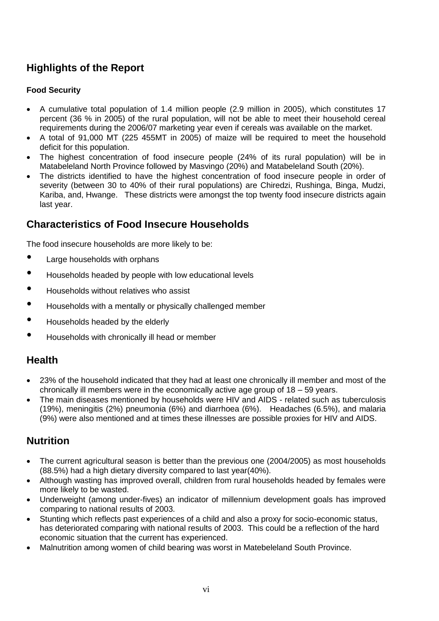# <span id="page-7-0"></span>**Highlights of the Report**

### **Food Security**

- A cumulative total population of 1.4 million people (2.9 million in 2005), which constitutes 17 percent (36 % in 2005) of the rural population, will not be able to meet their household cereal requirements during the 2006/07 marketing year even if cereals was available on the market.
- A total of 91,000 MT (225 455MT in 2005) of maize will be required to meet the household deficit for this population.
- The highest concentration of food insecure people (24% of its rural population) will be in Matabeleland North Province followed by Masvingo (20%) and Matabeleland South (20%).
- The districts identified to have the highest concentration of food insecure people in order of severity (between 30 to 40% of their rural populations) are Chiredzi, Rushinga, Binga, Mudzi, Kariba, and, Hwange. These districts were amongst the top twenty food insecure districts again last year.

## **Characteristics of Food Insecure Households**

The food insecure households are more likely to be:

- Large households with orphans
- Households headed by people with low educational levels
- Households without relatives who assist
- Households with a mentally or physically challenged member
- Households headed by the elderly
- Households with chronically ill head or member

### **Health**

- 23% of the household indicated that they had at least one chronically ill member and most of the chronically ill members were in the economically active age group of 18 – 59 years.
- The main diseases mentioned by households were HIV and AIDS related such as tuberculosis (19%), meningitis (2%) pneumonia (6%) and diarrhoea (6%). Headaches (6.5%), and malaria (9%) were also mentioned and at times these illnesses are possible proxies for HIV and AIDS.

### **Nutrition**

- The current agricultural season is better than the previous one (2004/2005) as most households (88.5%) had a high dietary diversity compared to last year(40%).
- Although wasting has improved overall, children from rural households headed by females were more likely to be wasted.
- Underweight (among under-fives) an indicator of millennium development goals has improved comparing to national results of 2003.
- Stunting which reflects past experiences of a child and also a proxy for socio-economic status, has deteriorated comparing with national results of 2003. This could be a reflection of the hard economic situation that the current has experienced.
- Malnutrition among women of child bearing was worst in Matebeleland South Province.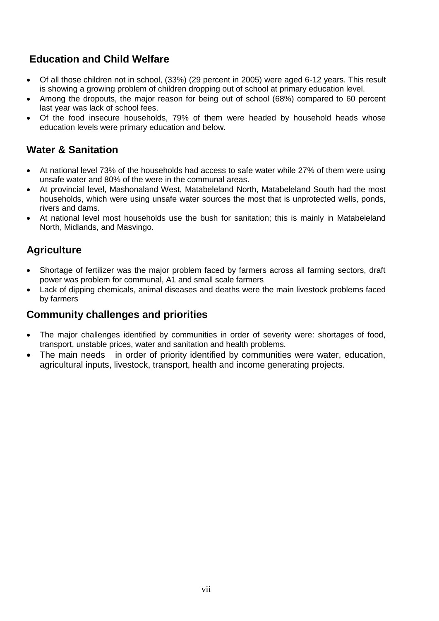# **Education and Child Welfare**

- Of all those children not in school, (33%) (29 percent in 2005) were aged 6-12 years. This result is showing a growing problem of children dropping out of school at primary education level.
- Among the dropouts, the major reason for being out of school (68%) compared to 60 percent last year was lack of school fees.
- Of the food insecure households, 79% of them were headed by household heads whose education levels were primary education and below.

# **Water & Sanitation**

- At national level 73% of the households had access to safe water while 27% of them were using unsafe water and 80% of the were in the communal areas.
- At provincial level, Mashonaland West, Matabeleland North, Matabeleland South had the most households, which were using unsafe water sources the most that is unprotected wells, ponds, rivers and dams.
- At national level most households use the bush for sanitation; this is mainly in Matabeleland North, Midlands, and Masvingo.

# **Agriculture**

- Shortage of fertilizer was the major problem faced by farmers across all farming sectors, draft power was problem for communal, A1 and small scale farmers
- Lack of dipping chemicals, animal diseases and deaths were the main livestock problems faced by farmers

### **Community challenges and priorities**

- The major challenges identified by communities in order of severity were: shortages of food, transport, unstable prices, water and sanitation and health problems.
- The main needs in order of priority identified by communities were water, education, agricultural inputs, livestock, transport, health and income generating projects.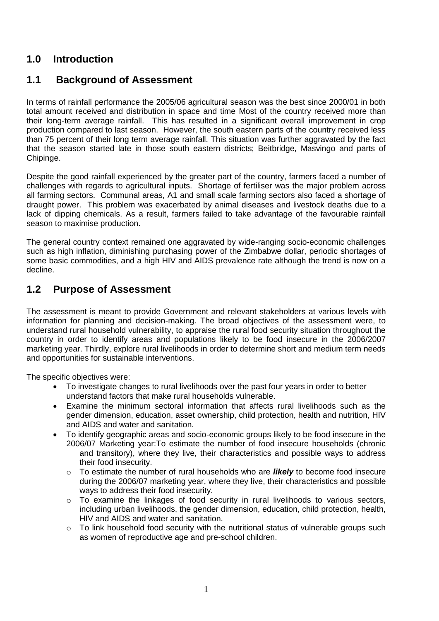## <span id="page-9-0"></span>**1.0 Introduction**

### <span id="page-9-1"></span>**1.1 Background of Assessment**

In terms of rainfall performance the 2005/06 agricultural season was the best since 2000/01 in both total amount received and distribution in space and time Most of the country received more than their long-term average rainfall. This has resulted in a significant overall improvement in crop production compared to last season. However, the south eastern parts of the country received less than 75 percent of their long term average rainfall. This situation was further aggravated by the fact that the season started late in those south eastern districts; Beitbridge, Masvingo and parts of Chipinge.

Despite the good rainfall experienced by the greater part of the country, farmers faced a number of challenges with regards to agricultural inputs. Shortage of fertiliser was the major problem across all farming sectors. Communal areas, A1 and small scale farming sectors also faced a shortage of draught power. This problem was exacerbated by animal diseases and livestock deaths due to a lack of dipping chemicals. As a result, farmers failed to take advantage of the favourable rainfall season to maximise production.

The general country context remained one aggravated by wide-ranging socio-economic challenges such as high inflation, diminishing purchasing power of the Zimbabwe dollar, periodic shortages of some basic commodities, and a high HIV and AIDS prevalence rate although the trend is now on a decline.

### <span id="page-9-2"></span>**1.2 Purpose of Assessment**

The assessment is meant to provide Government and relevant stakeholders at various levels with information for planning and decision-making. The broad objectives of the assessment were, to understand rural household vulnerability, to appraise the rural food security situation throughout the country in order to identify areas and populations likely to be food insecure in the 2006/2007 marketing year. Thirdly, explore rural livelihoods in order to determine short and medium term needs and opportunities for sustainable interventions.

The specific objectives were:

- To investigate changes to rural livelihoods over the past four years in order to better understand factors that make rural households vulnerable.
- Examine the minimum sectoral information that affects rural livelihoods such as the gender dimension, education, asset ownership, child protection, health and nutrition, HIV and AIDS and water and sanitation.
- To identify geographic areas and socio-economic groups likely to be food insecure in the 2006/07 Marketing year:To estimate the number of food insecure households (chronic and transitory), where they live, their characteristics and possible ways to address their food insecurity.
	- o To estimate the number of rural households who are *likely* to become food insecure during the 2006/07 marketing year, where they live, their characteristics and possible ways to address their food insecurity.
	- $\circ$  To examine the linkages of food security in rural livelihoods to various sectors, including urban livelihoods, the gender dimension, education, child protection, health, HIV and AIDS and water and sanitation.
	- o To link household food security with the nutritional status of vulnerable groups such as women of reproductive age and pre-school children.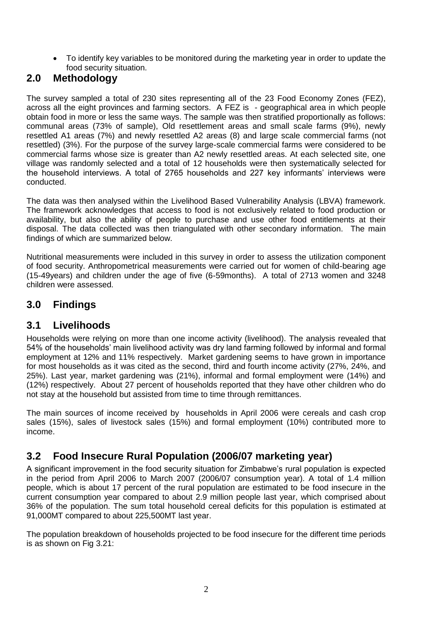To identify key variables to be monitored during the marketing year in order to update the food security situation.

### <span id="page-10-0"></span>**2.0 Methodology**

The survey sampled a total of 230 sites representing all of the 23 Food Economy Zones (FEZ), across all the eight provinces and farming sectors. A FEZ is - geographical area in which people obtain food in more or less the same ways. The sample was then stratified proportionally as follows: communal areas (73% of sample), Old resettlement areas and small scale farms (9%), newly resettled A1 areas (7%) and newly resettled A2 areas (8) and large scale commercial farms (not resettled) (3%). For the purpose of the survey large-scale commercial farms were considered to be commercial farms whose size is greater than A2 newly resettled areas. At each selected site, one village was randomly selected and a total of 12 households were then systematically selected for the household interviews. A total of 2765 households and 227 key informants' interviews were conducted.

The data was then analysed within the Livelihood Based Vulnerability Analysis (LBVA) framework. The framework acknowledges that access to food is not exclusively related to food production or availability, but also the ability of people to purchase and use other food entitlements at their disposal. The data collected was then triangulated with other secondary information. The main findings of which are summarized below.

Nutritional measurements were included in this survey in order to assess the utilization component of food security. Anthropometrical measurements were carried out for women of child-bearing age (15-49years) and children under the age of five (6-59months). A total of 2713 women and 3248 children were assessed.

# <span id="page-10-1"></span>**3.0 Findings**

## <span id="page-10-2"></span>**3.1 Livelihoods**

Households were relying on more than one income activity (livelihood). The analysis revealed that 54% of the households' main livelihood activity was dry land farming followed by informal and formal employment at 12% and 11% respectively. Market gardening seems to have grown in importance for most households as it was cited as the second, third and fourth income activity (27%, 24%, and 25%). Last year, market gardening was (21%), informal and formal employment were (14%) and (12%) respectively. About 27 percent of households reported that they have other children who do not stay at the household but assisted from time to time through remittances.

The main sources of income received by households in April 2006 were cereals and cash crop sales (15%), sales of livestock sales (15%) and formal employment (10%) contributed more to income.

# <span id="page-10-3"></span>**3.2 Food Insecure Rural Population (2006/07 marketing year)**

A significant improvement in the food security situation for Zimbabwe's rural population is expected in the period from April 2006 to March 2007 (2006/07 consumption year). A total of 1.4 million people, which is about 17 percent of the rural population are estimated to be food insecure in the current consumption year compared to about 2.9 million people last year, which comprised about 36% of the population. The sum total household cereal deficits for this population is estimated at 91,000MT compared to about 225,500MT last year.

The population breakdown of households projected to be food insecure for the different time periods is as shown on Fig 3.21: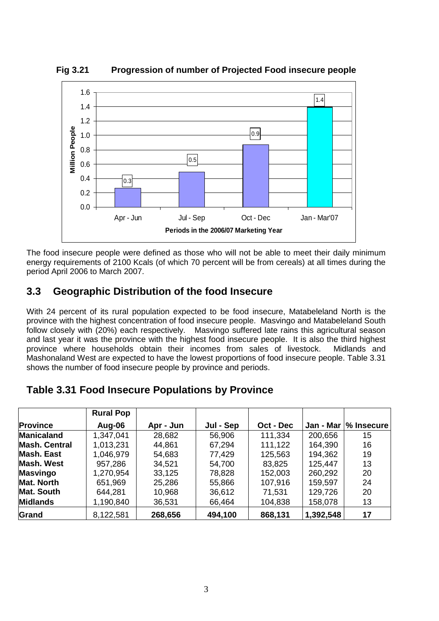

**Fig 3.21 Progression of number of Projected Food insecure people**

The food insecure people were defined as those who will not be able to meet their daily minimum energy requirements of 2100 Kcals (of which 70 percent will be from cereals) at all times during the period April 2006 to March 2007.

# <span id="page-11-0"></span>**3.3 Geographic Distribution of the food Insecure**

With 24 percent of its rural population expected to be food insecure, Matabeleland North is the province with the highest concentration of food insecure people. Masvingo and Matabeleland South follow closely with (20%) each respectively. Masvingo suffered late rains this agricultural season and last year it was the province with the highest food insecure people. It is also the third highest province where households obtain their incomes from sales of livestock. Midlands and Mashonaland West are expected to have the lowest proportions of food insecure people. Table 3.31 shows the number of food insecure people by province and periods.

## **Table 3.31 Food Insecure Populations by Province**

|                      | <b>Rural Pop</b> |           |           |           |           |                   |
|----------------------|------------------|-----------|-----------|-----------|-----------|-------------------|
| <b>Province</b>      | Aug-06           | Apr - Jun | Jul - Sep | Oct - Dec | Jan - Mar | <b>M</b> Insecure |
| <b>Manicaland</b>    | 1,347,041        | 28,682    | 56,906    | 111,334   | 200,656   | 15                |
| <b>Mash, Central</b> | 1,013,231        | 44,861    | 67,294    | 111,122   | 164,390   | 16                |
| <b>Mash, East</b>    | 1,046,979        | 54,683    | 77,429    | 125,563   | 194,362   | 19                |
| <b>Mash. West</b>    | 957,286          | 34,521    | 54,700    | 83,825    | 125,447   | 13                |
| <b>Masvingo</b>      | 1,270,954        | 33,125    | 78,828    | 152,003   | 260,292   | 20                |
| <b>Mat. North</b>    | 651,969          | 25,286    | 55,866    | 107,916   | 159,597   | 24                |
| <b>Mat. South</b>    | 644,281          | 10,968    | 36,612    | 71,531    | 129,726   | 20                |
| <b>Midlands</b>      | 1,190,840        | 36,531    | 66,464    | 104,838   | 158,078   | 13                |
| Grand                | 8,122,581        | 268,656   | 494,100   | 868,131   | 1,392,548 | 17                |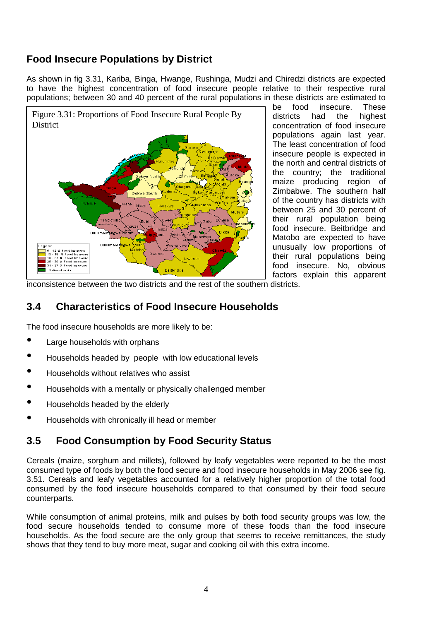# **Food Insecure Populations by District**

As shown in fig 3.31, Kariba, Binga, Hwange, Rushinga, Mudzi and Chiredzi districts are expected to have the highest concentration of food insecure people relative to their respective rural populations; between 30 and 40 percent of the rural populations in these districts are estimated to



be food insecure. These districts had the highest concentration of food insecure populations again last year. The least concentration of food insecure people is expected in the north and central districts of the country; the traditional maize producing region of Zimbabwe. The southern half of the country has districts with between 25 and 30 percent of their rural population being food insecure. Beitbridge and Matobo are expected to have unusually low proportions of their rural populations being food insecure. No, obvious factors explain this apparent

inconsistence between the two districts and the rest of the southern districts.

# <span id="page-12-0"></span>**3.4 Characteristics of Food Insecure Households**

The food insecure households are more likely to be:

- Large households with orphans
- Households headed by people with low educational levels
- Households without relatives who assist
- Households with a mentally or physically challenged member
- Households headed by the elderly
- Households with chronically ill head or member

## <span id="page-12-1"></span>**3.5 Food Consumption by Food Security Status**

Cereals (maize, sorghum and millets), followed by leafy vegetables were reported to be the most consumed type of foods by both the food secure and food insecure households in May 2006 see fig. 3.51. Cereals and leafy vegetables accounted for a relatively higher proportion of the total food consumed by the food insecure households compared to that consumed by their food secure counterparts.

While consumption of animal proteins, milk and pulses by both food security groups was low, the food secure households tended to consume more of these foods than the food insecure households. As the food secure are the only group that seems to receive remittances, the study shows that they tend to buy more meat, sugar and cooking oil with this extra income.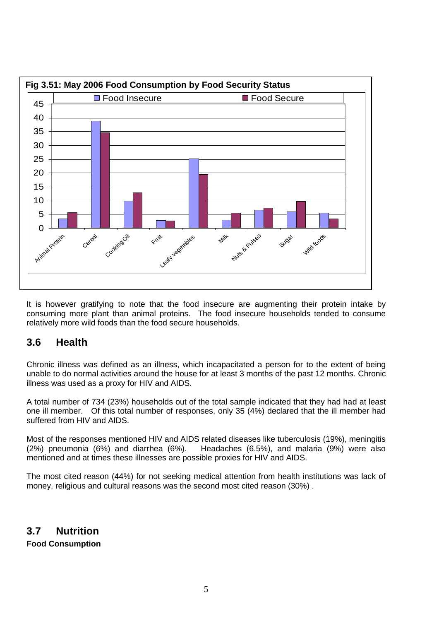

It is however gratifying to note that the food insecure are augmenting their protein intake by consuming more plant than animal proteins. The food insecure households tended to consume relatively more wild foods than the food secure households.

## <span id="page-13-0"></span>**3.6 Health**

Chronic illness was defined as an illness, which incapacitated a person for to the extent of being unable to do normal activities around the house for at least 3 months of the past 12 months. Chronic illness was used as a proxy for HIV and AIDS.

A total number of 734 (23%) households out of the total sample indicated that they had had at least one ill member. Of this total number of responses, only 35 (4%) declared that the ill member had suffered from HIV and AIDS.

Most of the responses mentioned HIV and AIDS related diseases like tuberculosis (19%), meningitis (2%) pneumonia (6%) and diarrhea (6%). Headaches (6.5%), and malaria (9%) were also mentioned and at times these illnesses are possible proxies for HIV and AIDS.

<span id="page-13-1"></span>The most cited reason (44%) for not seeking medical attention from health institutions was lack of money, religious and cultural reasons was the second most cited reason (30%) .

**3.7 Nutrition Food Consumption**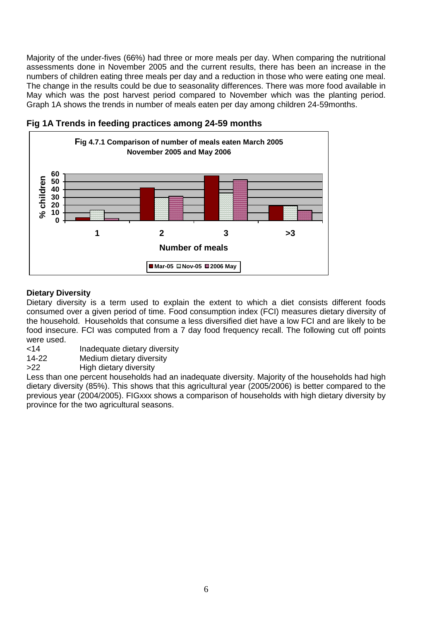Majority of the under-fives (66%) had three or more meals per day. When comparing the nutritional assessments done in November 2005 and the current results, there has been an increase in the numbers of children eating three meals per day and a reduction in those who were eating one meal. The change in the results could be due to seasonality differences. There was more food available in May which was the post harvest period compared to November which was the planting period. Graph 1A shows the trends in number of meals eaten per day among children 24-59months.



### **Fig 1A Trends in feeding practices among 24-59 months**

### **Dietary Diversity**

Dietary diversity is a term used to explain the extent to which a diet consists different foods consumed over a given period of time. Food consumption index (FCI) measures dietary diversity of the household. Households that consume a less diversified diet have a low FCI and are likely to be food insecure. FCI was computed from a 7 day food frequency recall. The following cut off points were used.<br><14

- Inadequate dietary diversity
- 14-22 Medium dietary diversity

>22 High dietary diversity

Less than one percent households had an inadequate diversity. Majority of the households had high dietary diversity (85%). This shows that this agricultural year (2005/2006) is better compared to the previous year (2004/2005). FIGxxx shows a comparison of households with high dietary diversity by province for the two agricultural seasons.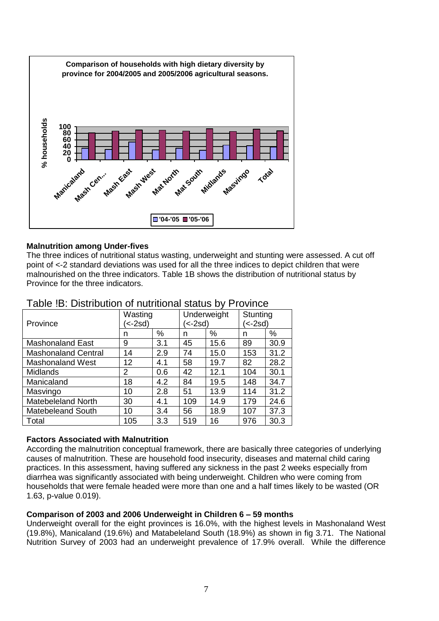

#### **Malnutrition among Under-fives**

The three indices of nutritional status wasting, underweight and stunting were assessed. A cut off point of <-2 standard deviations was used for all the three indices to depict children that were malnourished on the three indicators. Table 1B shows the distribution of nutritional status by Province for the three indicators.

| Province                   | Wasting<br><sup>'</sup> <-2sd) |     | Underweight<br>(<-2sd) |      | Stunting<br>์<-2sd) |      |
|----------------------------|--------------------------------|-----|------------------------|------|---------------------|------|
|                            | n                              | %   | n                      | %    | n                   | %    |
| <b>Mashonaland East</b>    | 9                              | 3.1 | 45                     | 15.6 | 89                  | 30.9 |
| <b>Mashonaland Central</b> | 14                             | 2.9 | 74                     | 15.0 | 153                 | 31.2 |
| <b>Mashonaland West</b>    | 12                             | 4.1 | 58                     | 19.7 | 82                  | 28.2 |
| <b>Midlands</b>            | 2                              | 0.6 | 42                     | 12.1 | 104                 | 30.1 |
| Manicaland                 | 18                             | 4.2 | 84                     | 19.5 | 148                 | 34.7 |
| Masvingo                   | 10                             | 2.8 | 51                     | 13.9 | 114                 | 31.2 |
| <b>Matebeleland North</b>  | 30                             | 4.1 | 109                    | 14.9 | 179                 | 24.6 |
| <b>Matebeleand South</b>   | 10                             | 3.4 | 56                     | 18.9 | 107                 | 37.3 |
| Total                      | 105                            | 3.3 | 519                    | 16   | 976                 | 30.3 |

### Table !B: Distribution of nutritional status by Province

#### **Factors Associated with Malnutrition**

According the malnutrition conceptual framework, there are basically three categories of underlying causes of malnutrition. These are household food insecurity, diseases and maternal child caring practices. In this assessment, having suffered any sickness in the past 2 weeks especially from diarrhea was significantly associated with being underweight. Children who were coming from households that were female headed were more than one and a half times likely to be wasted (OR 1.63, p-value 0.019).

#### **Comparison of 2003 and 2006 Underweight in Children 6 – 59 months**

Underweight overall for the eight provinces is 16.0%, with the highest levels in Mashonaland West (19.8%), Manicaland (19.6%) and Matabeleland South (18.9%) as shown in fig 3.71. The National Nutrition Survey of 2003 had an underweight prevalence of 17.9% overall. While the difference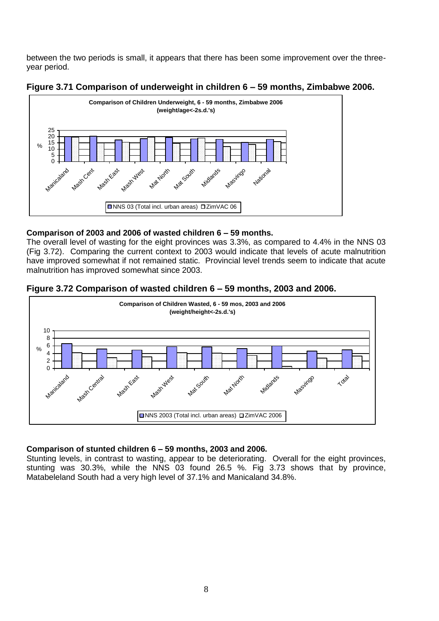between the two periods is small, it appears that there has been some improvement over the threeyear period.



#### **Figure 3.71 Comparison of underweight in children 6 – 59 months, Zimbabwe 2006.**

#### **Comparison of 2003 and 2006 of wasted children 6 – 59 months.**

The overall level of wasting for the eight provinces was 3.3%, as compared to 4.4% in the NNS 03 (Fig 3.72). Comparing the current context to 2003 would indicate that levels of acute malnutrition have improved somewhat if not remained static. Provincial level trends seem to indicate that acute malnutrition has improved somewhat since 2003.





#### **Comparison of stunted children 6 – 59 months, 2003 and 2006.**

Stunting levels, in contrast to wasting, appear to be deteriorating. Overall for the eight provinces, stunting was 30.3%, while the NNS 03 found 26.5 %. Fig 3.73 shows that by province, Matabeleland South had a very high level of 37.1% and Manicaland 34.8%.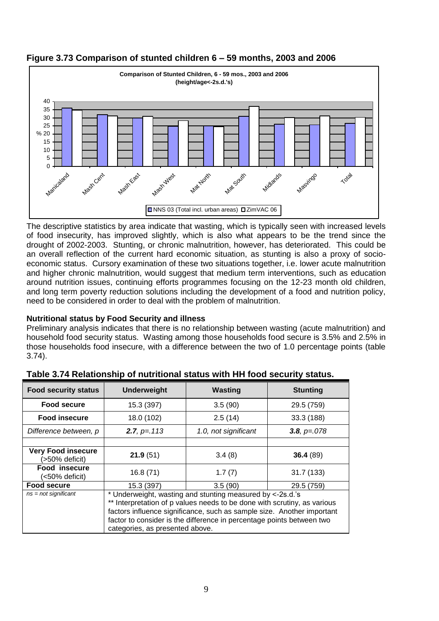

## **Figure 3.73 Comparison of stunted children 6 – 59 months, 2003 and 2006**

The descriptive statistics by area indicate that wasting, which is typically seen with increased levels of food insecurity, has improved slightly, which is also what appears to be the trend since the drought of 2002-2003. Stunting, or chronic malnutrition, however, has deteriorated. This could be an overall reflection of the current hard economic situation, as stunting is also a proxy of socioeconomic status. Cursory examination of these two situations together, i.e. lower acute malnutrition and higher chronic malnutrition, would suggest that medium term interventions, such as education around nutrition issues, continuing efforts programmes focusing on the 12-23 month old children, and long term poverty reduction solutions including the development of a food and nutrition policy, need to be considered in order to deal with the problem of malnutrition.

### **Nutritional status by Food Security and illness**

Preliminary analysis indicates that there is no relationship between wasting (acute malnutrition) and household food security status. Wasting among those households food secure is 3.5% and 2.5% in those households food insecure, with a difference between the two of 1.0 percentage points (table 3.74).

| <b>Food security status</b>                 | <b>Underweight</b>                                                       | <b>Wasting</b>       | <b>Stunting</b> |  |  |  |  |
|---------------------------------------------|--------------------------------------------------------------------------|----------------------|-----------------|--|--|--|--|
| <b>Food secure</b>                          | 15.3 (397)                                                               | 3.5(90)              | 29.5 (759)      |  |  |  |  |
| <b>Food insecure</b>                        | 18.0 (102)                                                               | 2.5(14)              | 33.3 (188)      |  |  |  |  |
| Difference between, p                       | <b>2.7, p</b> = 113                                                      | 1.0, not significant | 3.8, $p = 078$  |  |  |  |  |
|                                             |                                                                          |                      |                 |  |  |  |  |
| <b>Very Food insecure</b><br>(>50% deficit) | 21.9(51)                                                                 | 3.4(8)               | 36.4(89)        |  |  |  |  |
| Food insecure<br>(<50% deficit)             | 16.8(71)                                                                 | 1.7(7)               | 31.7(133)       |  |  |  |  |
| <b>Food secure</b>                          | 15.3 (397)                                                               | 3.5(90)              | 29.5 (759)      |  |  |  |  |
| $ns = not$ significant                      | * Underweight, wasting and stunting measured by <-2s.d.'s                |                      |                 |  |  |  |  |
|                                             | ** Interpretation of p values needs to be done with scrutiny, as various |                      |                 |  |  |  |  |
|                                             | factors influence significance, such as sample size. Another important   |                      |                 |  |  |  |  |
|                                             | factor to consider is the difference in percentage points between two    |                      |                 |  |  |  |  |
|                                             | categories, as presented above.                                          |                      |                 |  |  |  |  |

**Table 3.74 Relationship of nutritional status with HH food security status.**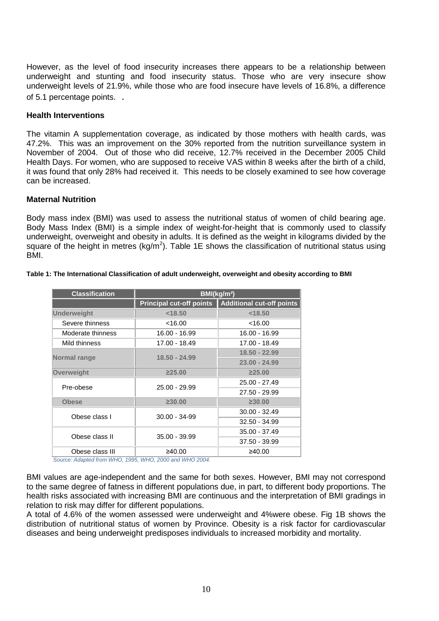However, as the level of food insecurity increases there appears to be a relationship between underweight and stunting and food insecurity status. Those who are very insecure show underweight levels of 21.9%, while those who are food insecure have levels of 16.8%, a difference of 5.1 percentage points. .

#### **Health Interventions**

The vitamin A supplementation coverage, as indicated by those mothers with health cards, was 47.2%. This was an improvement on the 30% reported from the nutrition surveillance system in November of 2004. Out of those who did receive, 12.7% received in the December 2005 Child Health Days. For women, who are supposed to receive VAS within 8 weeks after the birth of a child, it was found that only 28% had received it. This needs to be closely examined to see how coverage can be increased.

#### **Maternal Nutrition**

Body mass index (BMI) was used to assess the nutritional status of women of child bearing age. Body Mass Index (BMI) is a simple index of weight-for-height that is commonly used to classify underweight, overweight and obesity in adults. It is defined as the weight in kilograms divided by the square of the height in metres (kg/m<sup>2</sup>). Table 1E shows the classification of nutritional status using BMI.

| <b>Classification</b> | BMI(kg/m <sup>2</sup> )         |                                  |  |  |
|-----------------------|---------------------------------|----------------------------------|--|--|
|                       | <b>Principal cut-off points</b> | <b>Additional cut-off points</b> |  |  |
| <b>Underweight</b>    | < 18.50                         | < 18.50                          |  |  |
| Severe thinness       | < 16.00                         | $<$ 16.00                        |  |  |
| Moderate thinness     | 16.00 - 16.99                   | 16.00 - 16.99                    |  |  |
| Mild thinness         | 17.00 - 18.49                   | 17.00 - 18.49                    |  |  |
| Normal range          | 18.50 - 24.99                   | 18.50 - 22.99                    |  |  |
|                       |                                 | $23.00 - 24.99$                  |  |  |
| Overweight            | $\geq 25.00$                    | $\geq 25.00$                     |  |  |
| Pre-obese             | 25.00 - 29.99                   | $25.00 - 27.49$                  |  |  |
|                       |                                 | 27.50 - 29.99                    |  |  |
| <b>Obese</b>          | $\geq 30.00$                    | $\geq 30.00$                     |  |  |
| Obese class I         | $30.00 - 34 - 99$               | $30.00 - 32.49$                  |  |  |
|                       |                                 | $32.50 - 34.99$                  |  |  |
| Obese class II        | $35.00 - 39.99$                 | $35.00 - 37.49$                  |  |  |
|                       |                                 | 37.50 - 39.99                    |  |  |
| Obese class III       | ≥40.00                          | ≥40.00                           |  |  |

#### **Table 1: The International Classification of adult underweight, overweight and obesity according to BMI**

*Source: Adapted from WHO, 1995, WHO, 2000 and WHO 2004.*

BMI values are age-independent and the same for both sexes. However, BMI may not correspond to the same degree of fatness in different populations due, in part, to different body proportions. The health risks associated with increasing BMI are continuous and the interpretation of BMI gradings in relation to risk may differ for different populations.

A total of 4.6% of the women assessed were underweight and 4%were obese. Fig 1B shows the distribution of nutritional status of women by Province. Obesity is a risk factor for cardiovascular diseases and being underweight predisposes individuals to increased morbidity and mortality.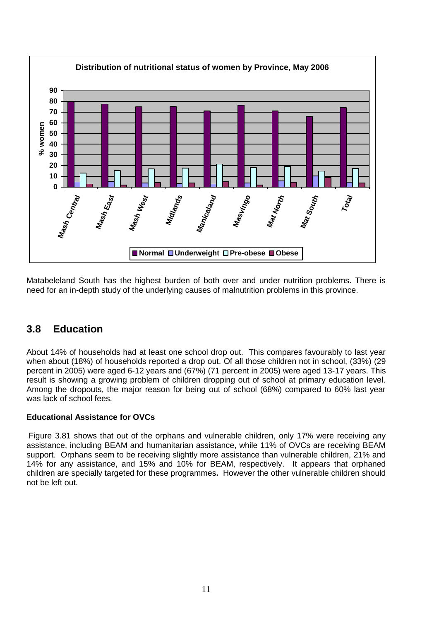

Matabeleland South has the highest burden of both over and under nutrition problems. There is need for an in-depth study of the underlying causes of malnutrition problems in this province.

## <span id="page-19-0"></span>**3.8 Education**

About 14% of households had at least one school drop out. This compares favourably to last year when about (18%) of households reported a drop out. Of all those children not in school, (33%) (29 percent in 2005) were aged 6-12 years and (67%) (71 percent in 2005) were aged 13-17 years. This result is showing a growing problem of children dropping out of school at primary education level. Among the dropouts, the major reason for being out of school (68%) compared to 60% last year was lack of school fees.

### **Educational Assistance for OVCs**

Figure 3.81 shows that out of the orphans and vulnerable children, only 17% were receiving any assistance, including BEAM and humanitarian assistance, while 11% of OVCs are receiving BEAM support. Orphans seem to be receiving slightly more assistance than vulnerable children, 21% and 14% for any assistance, and 15% and 10% for BEAM, respectively. It appears that orphaned children are specially targeted for these programmes**.** However the other vulnerable children should not be left out.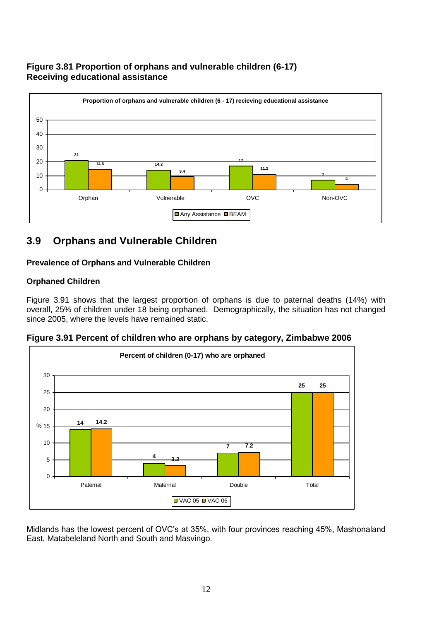### **Figure 3.81 Proportion of orphans and vulnerable children (6-17) Receiving educational assistance**



# <span id="page-20-0"></span>**3.9 Orphans and Vulnerable Children**

### **Prevalence of Orphans and Vulnerable Children**

### **Orphaned Children**

Figure 3.91 shows that the largest proportion of orphans is due to paternal deaths (14%) with overall, 25% of children under 18 being orphaned. Demographically, the situation has not changed since 2005, where the levels have remained static.

**Figure 3.91 Percent of children who are orphans by category, Zimbabwe 2006**



Midlands has the lowest percent of OVC's at 35%, with four provinces reaching 45%, Mashonaland East, Matabeleland North and South and Masvingo.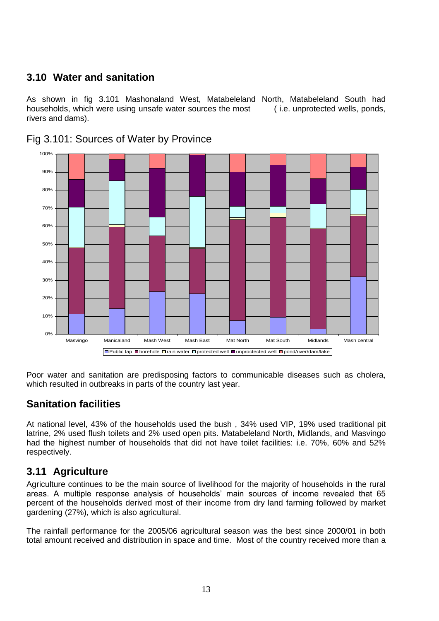# <span id="page-21-0"></span>**3.10 Water and sanitation**

As shown in fig 3.101 Mashonaland West, Matabeleland North, Matabeleland South had households, which were using unsafe water sources the most (i.e. unprotected wells, ponds, rivers and dams).



Fig 3.101: Sources of Water by Province

Poor water and sanitation are predisposing factors to communicable diseases such as cholera, which resulted in outbreaks in parts of the country last year.

## **Sanitation facilities**

At national level, 43% of the households used the bush , 34% used VIP, 19% used traditional pit latrine, 2% used flush toilets and 2% used open pits. Matabeleland North, Midlands, and Masvingo had the highest number of households that did not have toilet facilities: i.e. 70%, 60% and 52% respectively.

## <span id="page-21-1"></span>**3.11 Agriculture**

Agriculture continues to be the main source of livelihood for the majority of households in the rural areas. A multiple response analysis of households' main sources of income revealed that 65 percent of the households derived most of their income from dry land farming followed by market gardening (27%), which is also agricultural.

The rainfall performance for the 2005/06 agricultural season was the best since 2000/01 in both total amount received and distribution in space and time. Most of the country received more than a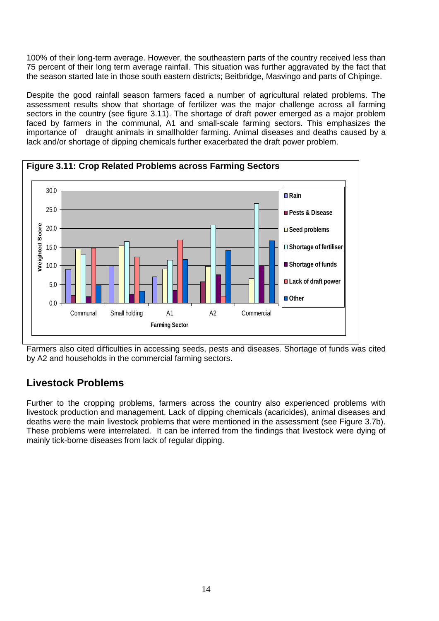100% of their long-term average. However, the southeastern parts of the country received less than 75 percent of their long term average rainfall. This situation was further aggravated by the fact that the season started late in those south eastern districts; Beitbridge, Masvingo and parts of Chipinge.

Despite the good rainfall season farmers faced a number of agricultural related problems. The assessment results show that shortage of fertilizer was the major challenge across all farming sectors in the country (see figure 3.11). The shortage of draft power emerged as a major problem faced by farmers in the communal, A1 and small-scale farming sectors. This emphasizes the importance of draught animals in smallholder farming. Animal diseases and deaths caused by a lack and/or shortage of dipping chemicals further exacerbated the draft power problem.



Farmers also cited difficulties in accessing seeds, pests and diseases. Shortage of funds was cited by A2 and households in the commercial farming sectors.

## **Livestock Problems**

Further to the cropping problems, farmers across the country also experienced problems with livestock production and management. Lack of dipping chemicals (acaricides), animal diseases and deaths were the main livestock problems that were mentioned in the assessment (see Figure 3.7b). These problems were interrelated. It can be inferred from the findings that livestock were dying of mainly tick-borne diseases from lack of regular dipping.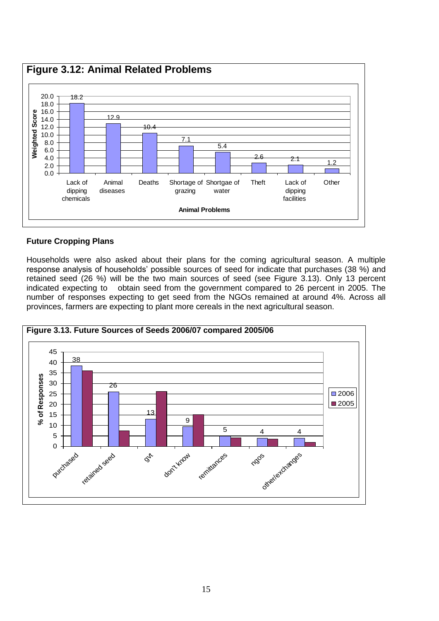

### **Future Cropping Plans**

Households were also asked about their plans for the coming agricultural season. A multiple response analysis of households' possible sources of seed for indicate that purchases (38 %) and retained seed (26 %) will be the two main sources of seed (see Figure 3.13). Only 13 percent indicated expecting to obtain seed from the government compared to 26 percent in 2005. The number of responses expecting to get seed from the NGOs remained at around 4%. Across all provinces, farmers are expecting to plant more cereals in the next agricultural season.

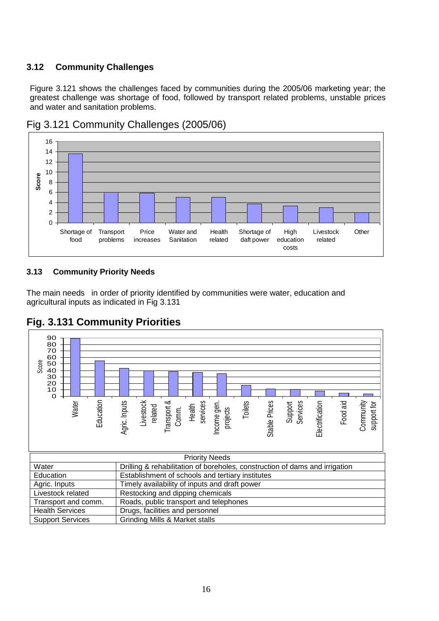### <span id="page-24-0"></span>**3.12 Community Challenges**

Figure 3.121 shows the challenges faced by communities during the 2005/06 marketing year; the greatest challenge was shortage of food, followed by transport related problems, unstable prices and water and sanitation problems.



## Fig 3.121 Community Challenges (2005/06)

### <span id="page-24-1"></span>**3.13 Community Priority Needs**

The main needs in order of priority identified by communities were water, education and agricultural inputs as indicated in Fig 3.131



# **Fig. 3.131 Community Priorities**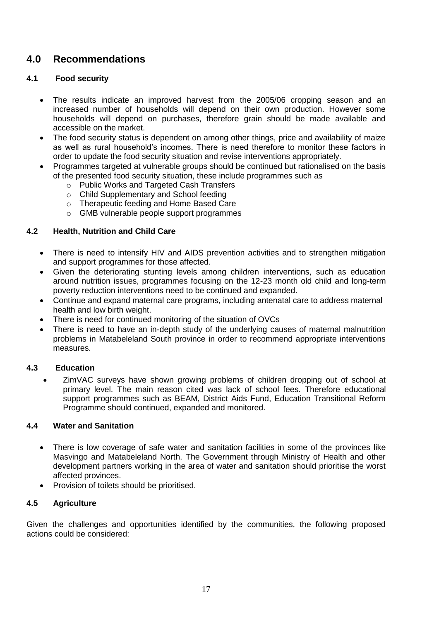# <span id="page-25-0"></span>**4.0 Recommendations**

### <span id="page-25-1"></span>**4.1 Food security**

- The results indicate an improved harvest from the 2005/06 cropping season and an increased number of households will depend on their own production. However some households will depend on purchases, therefore grain should be made available and accessible on the market.
- The food security status is dependent on among other things, price and availability of maize as well as rural household's incomes. There is need therefore to monitor these factors in order to update the food security situation and revise interventions appropriately.
- Programmes targeted at vulnerable groups should be continued but rationalised on the basis of the presented food security situation, these include programmes such as
	- o Public Works and Targeted Cash Transfers
	- o Child Supplementary and School feeding
	- o Therapeutic feeding and Home Based Care
	- o GMB vulnerable people support programmes

#### <span id="page-25-2"></span>**4.2 Health, Nutrition and Child Care**

- There is need to intensify HIV and AIDS prevention activities and to strengthen mitigation and support programmes for those affected.
- Given the deteriorating stunting levels among children interventions, such as education around nutrition issues, programmes focusing on the 12-23 month old child and long-term poverty reduction interventions need to be continued and expanded.
- Continue and expand maternal care programs, including antenatal care to address maternal health and low birth weight.
- There is need for continued monitoring of the situation of OVCs
- There is need to have an in-depth study of the underlying causes of maternal malnutrition problems in Matabeleland South province in order to recommend appropriate interventions measures.

#### <span id="page-25-3"></span>**4.3 Education**

 ZimVAC surveys have shown growing problems of children dropping out of school at primary level. The main reason cited was lack of school fees. Therefore educational support programmes such as BEAM, District Aids Fund, Education Transitional Reform Programme should continued, expanded and monitored.

#### <span id="page-25-4"></span>**4.4 Water and Sanitation**

- There is low coverage of safe water and sanitation facilities in some of the provinces like Masvingo and Matabeleland North. The Government through Ministry of Health and other development partners working in the area of water and sanitation should prioritise the worst affected provinces.
- Provision of toilets should be prioritised.

### <span id="page-25-5"></span>**4.5 Agriculture**

Given the challenges and opportunities identified by the communities, the following proposed actions could be considered: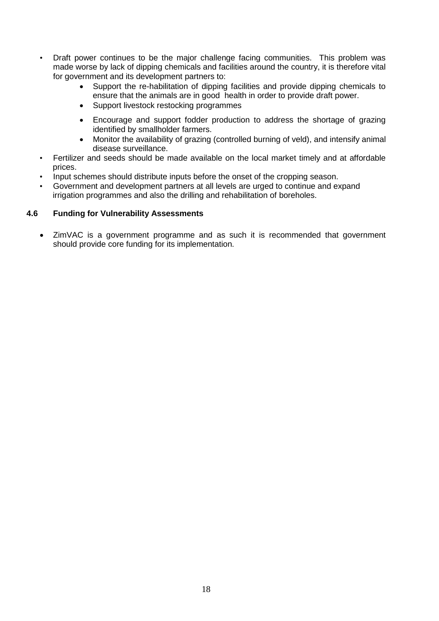- Draft power continues to be the major challenge facing communities. This problem was made worse by lack of dipping chemicals and facilities around the country, it is therefore vital for government and its development partners to:
	- Support the re-habilitation of dipping facilities and provide dipping chemicals to ensure that the animals are in good health in order to provide draft power.
	- Support livestock restocking programmes
	- Encourage and support fodder production to address the shortage of grazing identified by smallholder farmers.
	- Monitor the availability of grazing (controlled burning of veld), and intensify animal disease surveillance.
- Fertilizer and seeds should be made available on the local market timely and at affordable prices.
- Input schemes should distribute inputs before the onset of the cropping season.
- Government and development partners at all levels are urged to continue and expand irrigation programmes and also the drilling and rehabilitation of boreholes.

#### <span id="page-26-0"></span>**4.6 Funding for Vulnerability Assessments**

 ZimVAC is a government programme and as such it is recommended that government should provide core funding for its implementation.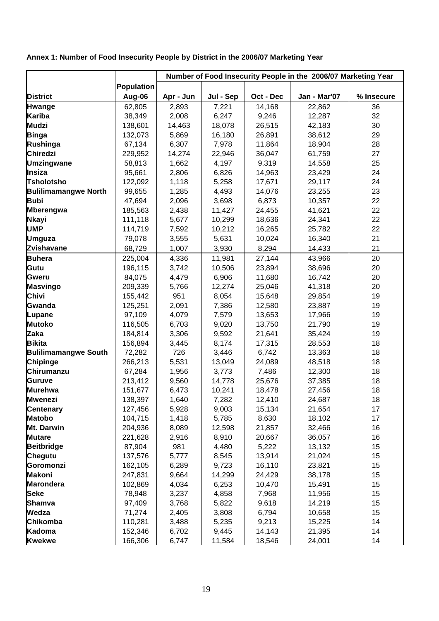<span id="page-27-0"></span>**Annex 1: Number of Food Insecurity People by District in the 2006/07 Marketing Year**

|                             |                   | Number of Food Insecurity People in the 2006/07 Marketing Year |           |           |              |            |
|-----------------------------|-------------------|----------------------------------------------------------------|-----------|-----------|--------------|------------|
|                             | <b>Population</b> |                                                                |           |           |              |            |
| <b>District</b>             | Aug-06            | Apr - Jun                                                      | Jul - Sep | Oct - Dec | Jan - Mar'07 | % Insecure |
| <b>Hwange</b>               | 62,805            | 2,893                                                          | 7,221     | 14,168    | 22,862       | 36         |
| <b>Kariba</b>               | 38,349            | 2,008                                                          | 6,247     | 9,246     | 12,287       | 32         |
| <b>Mudzi</b>                | 138,601           | 14,463                                                         | 18,078    | 26,515    | 42,183       | 30         |
| <b>Binga</b>                | 132,073           | 5,869                                                          | 16,180    | 26,891    | 38,612       | 29         |
| Rushinga                    | 67,134            | 6,307                                                          | 7,978     | 11,864    | 18,904       | 28         |
| Chiredzi                    | 229,952           | 14,274                                                         | 22,946    | 36,047    | 61,759       | 27         |
| <b>Umzingwane</b>           | 58,813            | 1,662                                                          | 4,197     | 9,319     | 14,558       | 25         |
| Insiza                      | 95,661            | 2,806                                                          | 6,826     | 14,963    | 23,429       | 24         |
| <b>Tsholotsho</b>           | 122,092           | 1,118                                                          | 5,258     | 17,671    | 29,117       | 24         |
| <b>Bulilimamangwe North</b> | 99,655            | 1,285                                                          | 4,493     | 14,076    | 23,255       | 23         |
| <b>Bubi</b>                 | 47,694            | 2,096                                                          | 3,698     | 6,873     | 10,357       | 22         |
| <b>Mberengwa</b>            | 185,563           | 2,438                                                          | 11,427    | 24,455    | 41,621       | 22         |
| <b>Nkayi</b>                | 111,118           | 5,677                                                          | 10,299    | 18,636    | 24,341       | 22         |
| <b>UMP</b>                  | 114,719           | 7,592                                                          | 10,212    | 16,265    | 25,782       | 22         |
| <b>Umguza</b>               | 79,078            | 3,555                                                          | 5,631     | 10,024    | 16,340       | 21         |
| <b>Zvishavane</b>           | 68,729            | 1,007                                                          | 3,930     | 8,294     | 14,433       | 21         |
| <b>Buhera</b>               | 225,004           | 4,336                                                          | 11,981    | 27,144    | 43,966       | 20         |
| Gutu                        | 196,115           | 3,742                                                          | 10,506    | 23,894    | 38,696       | 20         |
| <b>Gweru</b>                | 84,075            | 4,479                                                          | 6,906     | 11,680    | 16,742       | 20         |
| <b>Masvingo</b>             | 209,339           | 5,766                                                          | 12,274    | 25,046    | 41,318       | 20         |
| Chivi                       | 155,442           | 951                                                            | 8,054     | 15,648    | 29,854       | 19         |
| Gwanda                      | 125,251           | 2,091                                                          | 7,386     | 12,580    | 23,887       | 19         |
| Lupane                      | 97,109            | 4,079                                                          | 7,579     | 13,653    | 17,966       | 19         |
| <b>Mutoko</b>               | 116,505           | 6,703                                                          | 9,020     | 13,750    | 21,790       | 19         |
| Zaka                        | 184,814           | 3,306                                                          | 9,592     | 21,641    | 35,424       | 19         |
| <b>Bikita</b>               | 156,894           | 3,445                                                          | 8,174     | 17,315    | 28,553       | 18         |
| <b>Bulilimamangwe South</b> | 72,282            | 726                                                            | 3,446     | 6,742     | 13,363       | 18         |
| <b>Chipinge</b>             | 266,213           | 5,531                                                          | 13,049    | 24,089    | 48,518       | 18         |
| Chirumanzu                  | 67,284            | 1,956                                                          | 3,773     | 7,486     | 12,300       | 18         |
| <b>Guruve</b>               | 213,412           | 9,560                                                          | 14,778    | 25,676    | 37,385       | 18         |
| <b>Murehwa</b>              | 151,677           | 6,473                                                          | 10,241    | 18,478    | 27,456       | 18         |
| <b>Mwenezi</b>              | 138,397           | 1,640                                                          | 7,282     | 12,410    | 24,687       | 18         |
| <b>Centenary</b>            | 127,456           | 5,928                                                          | 9,003     | 15,134    | 21,654       | 17         |
| <b>Matobo</b>               | 104,715           | 1,418                                                          | 5,785     | 8,630     | 18,102       | 17         |
| Mt. Darwin                  | 204,936           | 8,089                                                          | 12,598    | 21,857    | 32,466       | 16         |
| <b>Mutare</b>               | 221,628           | 2,916                                                          | 8,910     | 20,667    | 36,057       | 16         |
| <b>Beitbridge</b>           | 87,904            | 981                                                            | 4,480     | 5,222     | 13,132       | 15         |
| Chegutu                     | 137,576           | 5,777                                                          | 8,545     | 13,914    | 21,024       | 15         |
| Goromonzi                   | 162,105           | 6,289                                                          | 9,723     | 16,110    | 23,821       | 15         |
| <b>Makoni</b>               | 247,831           | 9,664                                                          | 14,299    | 24,429    | 38,178       | 15         |
| <b>Marondera</b>            | 102,869           | 4,034                                                          | 6,253     | 10,470    | 15,491       | 15         |
| <b>Seke</b>                 | 78,948            | 3,237                                                          | 4,858     | 7,968     | 11,956       | 15         |
| <b>Shamva</b>               | 97,409            | 3,768                                                          | 5,822     | 9,618     | 14,219       | 15         |
| Wedza                       | 71,274            | 2,405                                                          | 3,808     | 6,794     | 10,658       | 15         |
| Chikomba                    | 110,281           | 3,488                                                          | 5,235     | 9,213     | 15,225       | 14         |
| Kadoma                      | 152,346           | 6,702                                                          | 9,445     | 14,143    | 21,395       | 14         |
| <b>Kwekwe</b>               | 166,306           | 6,747                                                          | 11,584    | 18,546    | 24,001       | 14         |